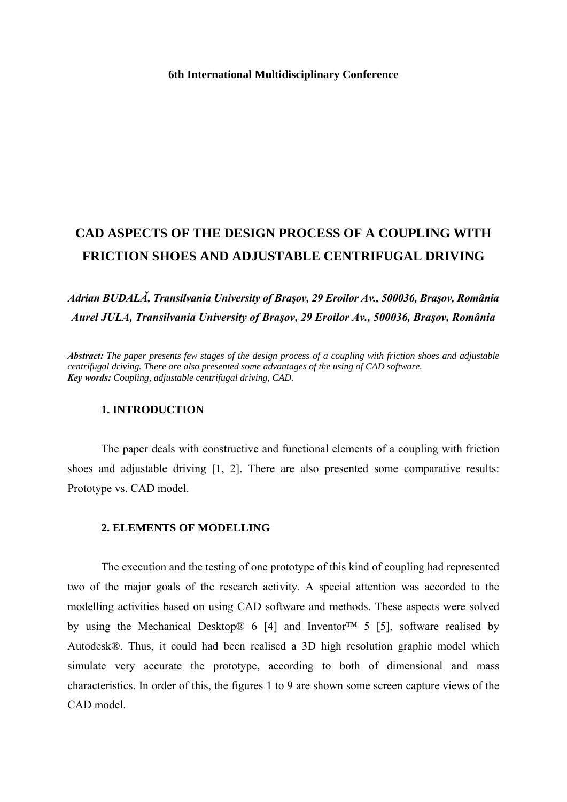# **CAD ASPECTS OF THE DESIGN PROCESS OF A COUPLING WITH FRICTION SHOES AND ADJUSTABLE CENTRIFUGAL DRIVING**

# *Adrian BUDALĂ, Transilvania University of Braşov, 29 Eroilor Av., 500036, Braşov, România Aurel JULA, Transilvania University of Braşov, 29 Eroilor Av., 500036, Braşov, România*

*Abstract: The paper presents few stages of the design process of a coupling with friction shoes and adjustable centrifugal driving. There are also presented some advantages of the using of CAD software. Key words: Coupling, adjustable centrifugal driving, CAD.* 

#### **1. INTRODUCTION**

The paper deals with constructive and functional elements of a coupling with friction shoes and adjustable driving [1, 2]. There are also presented some comparative results: Prototype vs. CAD model.

### **2. ELEMENTS OF MODELLING**

The execution and the testing of one prototype of this kind of coupling had represented two of the major goals of the research activity. A special attention was accorded to the modelling activities based on using CAD software and methods. These aspects were solved by using the Mechanical Desktop® 6 [4] and Inventor<sup>™</sup> 5 [5], software realised by Autodesk®. Thus, it could had been realised a 3D high resolution graphic model which simulate very accurate the prototype, according to both of dimensional and mass characteristics. In order of this, the figures 1 to 9 are shown some screen capture views of the CAD model.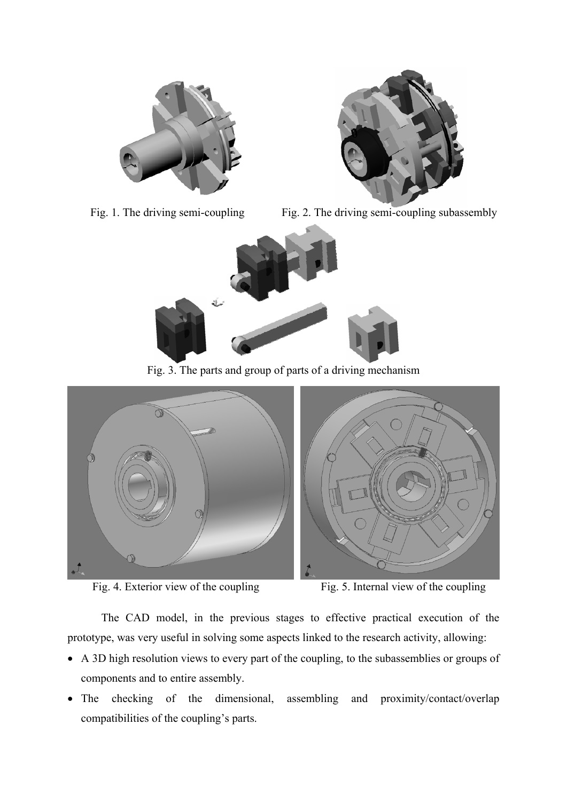





Fig. 1. The driving semi-coupling Fig. 2. The driving semi-coupling subassembly



Fig. 3. The parts and group of parts of a driving mechanism



Fig. 4. Exterior view of the coupling Fig. 5. Internal view of the coupling



The CAD model, in the previous stages to effective practical execution of the prototype, was very useful in solving some aspects linked to the research activity, allowing:

- A 3D high resolution views to every part of the coupling, to the subassemblies or groups of components and to entire assembly.
- The checking of the dimensional, assembling and proximity/contact/overlap compatibilities of the coupling's parts.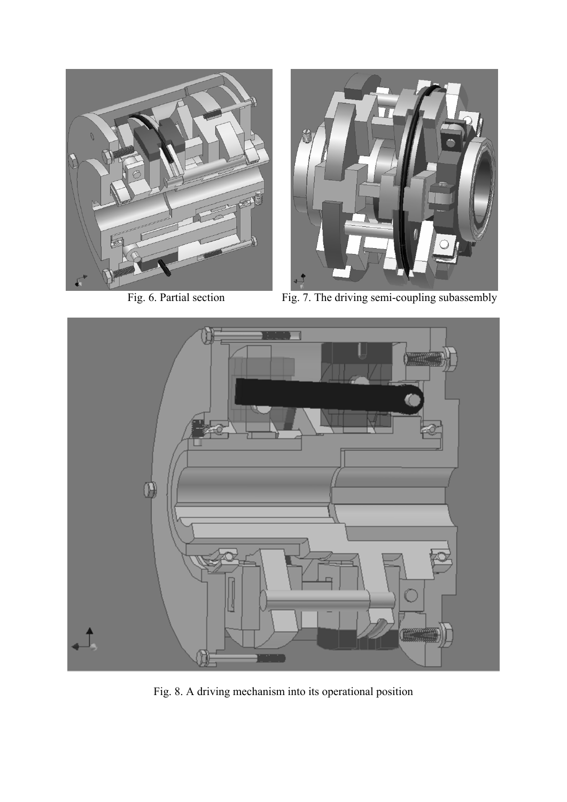



Fig. 6. Partial section Fig. 7. The driving semi-coupling subassembly



Fig. 8. A driving mechanism into its operational position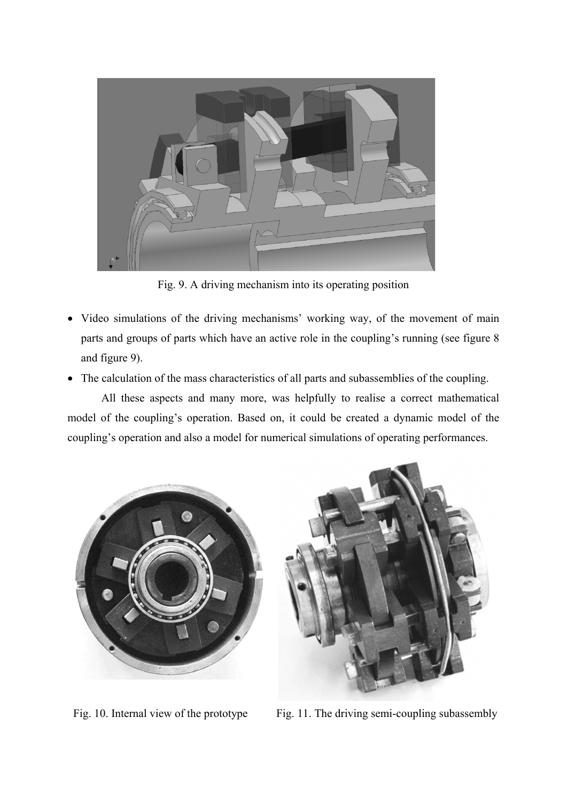

Fig. 9. A driving mechanism into its operating position

- Video simulations of the driving mechanisms' working way, of the movement of main parts and groups of parts which have an active role in the coupling's running (see figure 8 and figure 9).
- The calculation of the mass characteristics of all parts and subassemblies of the coupling.

All these aspects and many more, was helpfully to realise a correct mathematical model of the coupling's operation. Based on, it could be created a dynamic model of the coupling's operation and also a model for numerical simulations of operating performances.



Fig. 10. Internal view of the prototype Fig. 11. The driving semi-coupling subassembly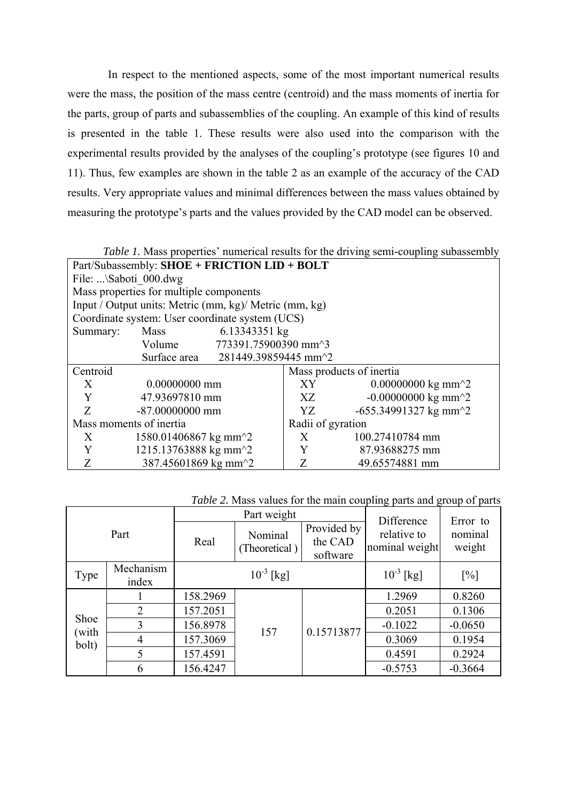In respect to the mentioned aspects, some of the most important numerical results were the mass, the position of the mass centre (centroid) and the mass moments of inertia for the parts, group of parts and subassemblies of the coupling. An example of this kind of results is presented in the table 1. These results were also used into the comparison with the experimental results provided by the analyses of the coupling's prototype (see figures 10 and 11). Thus, few examples are shown in the table 2 as an example of the accuracy of the CAD results. Very appropriate values and minimal differences between the mass values obtained by measuring the prototype's parts and the values provided by the CAD model can be observed.

| <i>Table 1.</i> Mass properties' numerical results for the driving semi-coupling subassembly |                                                          |                                                |    |                                                          |  |  |
|----------------------------------------------------------------------------------------------|----------------------------------------------------------|------------------------------------------------|----|----------------------------------------------------------|--|--|
| Part/Subassembly: SHOE + FRICTION LID + BOLT                                                 |                                                          |                                                |    |                                                          |  |  |
| File: \Saboti 000.dwg                                                                        |                                                          |                                                |    |                                                          |  |  |
| Mass properties for multiple components                                                      |                                                          |                                                |    |                                                          |  |  |
| Input / Output units: Metric (mm, kg)/ Metric (mm, kg)                                       |                                                          |                                                |    |                                                          |  |  |
| Coordinate system: User coordinate system (UCS)                                              |                                                          |                                                |    |                                                          |  |  |
| Summary:                                                                                     | Mass                                                     | 6.13343351 kg                                  |    |                                                          |  |  |
|                                                                                              |                                                          | Volume 773391.75900390 mm <sup>23</sup>        |    |                                                          |  |  |
|                                                                                              |                                                          | Surface area 281449.39859445 mm <sup>2</sup> 2 |    |                                                          |  |  |
| Centroid                                                                                     |                                                          |                                                |    | Mass products of inertia                                 |  |  |
| X                                                                                            | 0.00000000 mm                                            |                                                | XY | 0.00000000 kg mm <sup><math>\textdegree</math>2</sup>    |  |  |
| Y                                                                                            | 47.93697810 mm                                           |                                                | XZ | $-0.00000000 \text{ kg mm}^2$                            |  |  |
| Z                                                                                            | $-87,00000000$ mm                                        |                                                | YZ | -655.34991327 kg mm <sup><math>\textdegree</math>2</sup> |  |  |
| Mass moments of inertia                                                                      |                                                          | Radii of gyration                              |    |                                                          |  |  |
| X                                                                                            | 1580.01406867 kg mm <sup><math>\textdegree</math>2</sup> |                                                | X  | 100.27410784 mm                                          |  |  |
| Y                                                                                            | 1215.13763888 kg mm <sup><math>\textdegree</math>2</sup> |                                                | Y  | 87.93688275 mm                                           |  |  |
| Z                                                                                            | 387.45601869 kg mm <sup>2</sup> 2                        |                                                | Z  | 49.65574881 mm                                           |  |  |

| Table 2. Mass values for the main coupling parts and group of parts |  |  |  |
|---------------------------------------------------------------------|--|--|--|
|                                                                     |  |  |  |

| Part                   |                |                | Part weight              | Difference                         | Error to                      |                   |
|------------------------|----------------|----------------|--------------------------|------------------------------------|-------------------------------|-------------------|
|                        |                | Real           | Nominal<br>(Theoretical) | Provided by<br>the CAD<br>software | relative to<br>nominal weight | nominal<br>weight |
| Mechanism<br>Type      |                | $10^{-3}$ [kg] |                          |                                    | $10^{-3}$ [kg]                | [%]               |
|                        | index          |                |                          |                                    |                               |                   |
| Shoe<br>(with<br>bolt) |                | 158.2969       |                          | 0.15713877                         | 1.2969                        | 0.8260            |
|                        | $\overline{2}$ | 157.2051       |                          |                                    | 0.2051                        | 0.1306            |
|                        | 3              | 156.8978       | 157                      |                                    | $-0.1022$                     | $-0.0650$         |
|                        | 4              | 157.3069       |                          |                                    | 0.3069                        | 0.1954            |
|                        | 5              | 157.4591       |                          |                                    | 0.4591                        | 0.2924            |
|                        | 6              | 156.4247       |                          |                                    | $-0.5753$                     | $-0.3664$         |